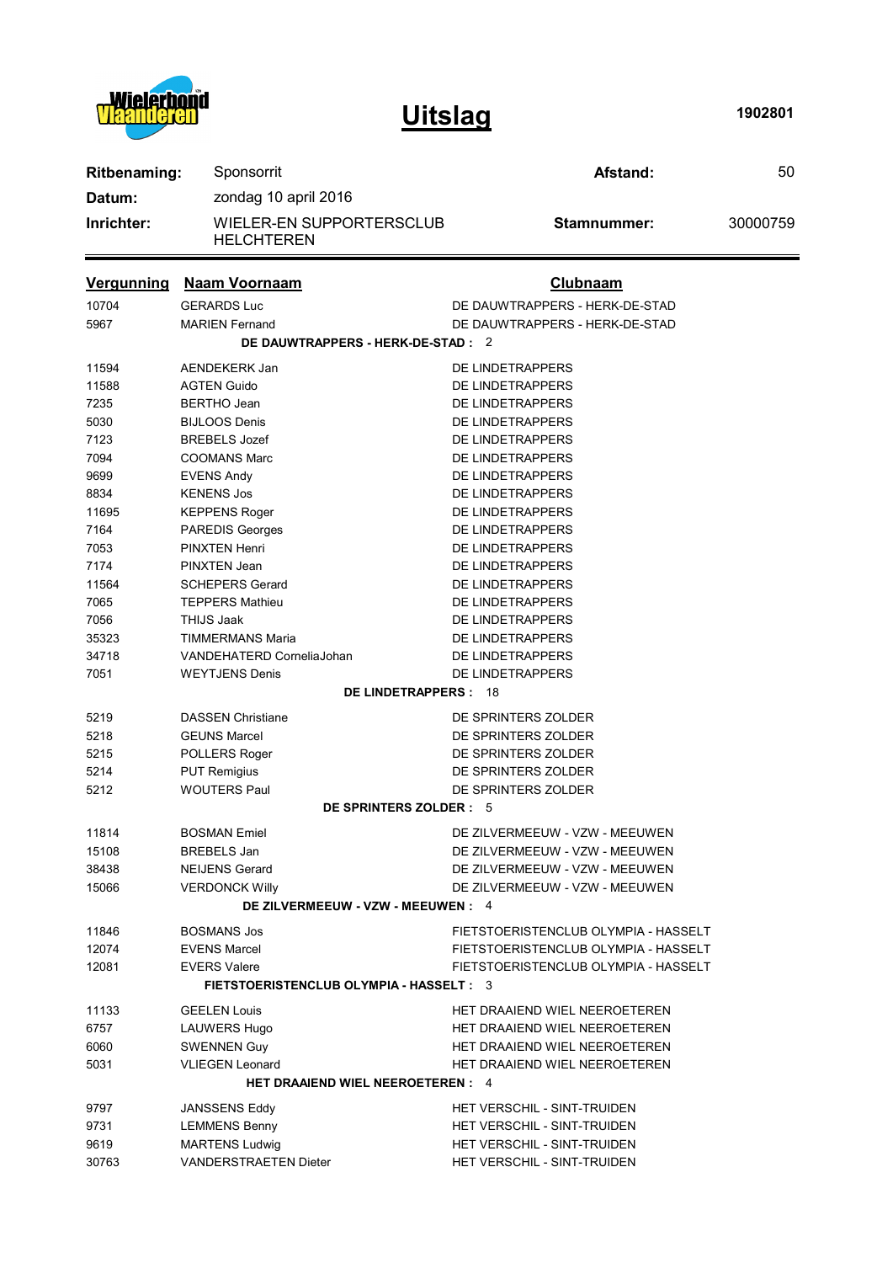

**Uitslag**

**1902801**

| <b>Ritbenaming:</b>                | Sponsorrit                                    | Afstand:                             | 50       |  |
|------------------------------------|-----------------------------------------------|--------------------------------------|----------|--|
| Datum:                             | zondag 10 april 2016                          |                                      |          |  |
| Inrichter:                         | WIELER-EN SUPPORTERSCLUB<br><b>HELCHTEREN</b> | Stamnummer:                          | 30000759 |  |
| <b>Vergunning</b>                  | <b>Naam Voornaam</b>                          | <b>Clubnaam</b>                      |          |  |
| 10704                              | <b>GERARDS Luc</b>                            | DE DAUWTRAPPERS - HERK-DE-STAD       |          |  |
| 5967                               | <b>MARIEN Fernand</b>                         | DE DAUWTRAPPERS - HERK-DE-STAD       |          |  |
| DE DAUWTRAPPERS - HERK-DE-STAD : 2 |                                               |                                      |          |  |
| 11594                              | AENDEKERK Jan                                 | DE LINDETRAPPERS                     |          |  |
| 11588                              | <b>AGTEN Guido</b>                            | DE LINDETRAPPERS                     |          |  |
| 7235                               | <b>BERTHO Jean</b>                            | DE LINDETRAPPERS                     |          |  |
| 5030                               | <b>BIJLOOS Denis</b>                          | DE LINDETRAPPERS                     |          |  |
| 7123                               | <b>BREBELS</b> Jozef                          | DE LINDETRAPPERS                     |          |  |
| 7094                               | <b>COOMANS Marc</b>                           | DE LINDETRAPPERS                     |          |  |
| 9699                               | <b>EVENS Andy</b>                             | DE LINDETRAPPERS                     |          |  |
| 8834                               | <b>KENENS Jos</b>                             | DE LINDETRAPPERS                     |          |  |
| 11695                              | <b>KEPPENS Roger</b>                          | DE LINDETRAPPERS                     |          |  |
| 7164                               | <b>PAREDIS Georges</b>                        | DE LINDETRAPPERS                     |          |  |
| 7053                               | <b>PINXTEN Henri</b>                          | DE LINDETRAPPERS                     |          |  |
| 7174                               | <b>PINXTEN Jean</b>                           | DE LINDETRAPPERS                     |          |  |
| 11564                              | <b>SCHEPERS Gerard</b>                        | DE LINDETRAPPERS                     |          |  |
| 7065                               | <b>TEPPERS Mathieu</b>                        | DE LINDETRAPPERS                     |          |  |
| 7056                               | <b>THIJS Jaak</b>                             | DE LINDETRAPPERS                     |          |  |
| 35323                              | <b>TIMMERMANS Maria</b>                       | DE LINDETRAPPERS                     |          |  |
| 34718                              | VANDEHATERD CorneliaJohan                     | DE LINDETRAPPERS                     |          |  |
| 7051                               | <b>WEYTJENS Denis</b>                         | DE LINDETRAPPERS                     |          |  |
|                                    | <b>DE LINDETRAPPERS: 18</b>                   |                                      |          |  |
| 5219                               | <b>DASSEN Christiane</b>                      | DE SPRINTERS ZOLDER                  |          |  |
| 5218                               | <b>GEUNS Marcel</b>                           | DE SPRINTERS ZOLDER                  |          |  |
| 5215                               | POLLERS Roger                                 | DE SPRINTERS ZOLDER                  |          |  |
| 5214                               | <b>PUT Remigius</b>                           | DE SPRINTERS ZOLDER                  |          |  |
| 5212                               | <b>WOUTERS Paul</b>                           | DE SPRINTERS ZOLDER                  |          |  |
|                                    | DE SPRINTERS ZOLDER : 5                       |                                      |          |  |
| 11814                              | <b>BOSMAN Emiel</b>                           | DE ZILVERMEEUW - VZW - MEEUWEN       |          |  |
| 15108                              | <b>BREBELS Jan</b>                            | DE ZILVERMEEUW - VZW - MEEUWEN       |          |  |
| 38438                              | <b>NEIJENS Gerard</b>                         | DE ZILVERMEEUW - VZW - MEEUWEN       |          |  |
| 15066                              | <b>VERDONCK Willy</b>                         | DE ZILVERMEEUW - VZW - MEEUWEN       |          |  |
|                                    | DE ZILVERMEEUW - VZW - MEEUWEN : 4            |                                      |          |  |
| 11846                              | <b>BOSMANS Jos</b>                            | FIETSTOERISTENCLUB OLYMPIA - HASSELT |          |  |
| 12074                              | <b>EVENS Marcel</b>                           | FIETSTOERISTENCLUB OLYMPIA - HASSELT |          |  |
| 12081                              | <b>EVERS Valere</b>                           | FIETSTOERISTENCLUB OLYMPIA - HASSELT |          |  |
|                                    | FIETSTOERISTENCLUB OLYMPIA - HASSELT : 3      |                                      |          |  |
| 11133                              | <b>GEELEN Louis</b>                           | HET DRAAIEND WIEL NEEROETEREN        |          |  |
| 6757                               | <b>LAUWERS Hugo</b>                           | HET DRAAIEND WIEL NEEROETEREN        |          |  |
| 6060                               | <b>SWENNEN Guy</b>                            | HET DRAAIEND WIEL NEEROETEREN        |          |  |
| 5031                               | <b>VLIEGEN Leonard</b>                        | HET DRAAIEND WIEL NEEROETEREN        |          |  |
|                                    | <b>HET DRAAIEND WIEL NEEROETEREN: 4</b>       |                                      |          |  |
| 9797                               | <b>JANSSENS Eddy</b>                          | HET VERSCHIL - SINT-TRUIDEN          |          |  |
| 9731                               | <b>LEMMENS Benny</b>                          | HET VERSCHIL - SINT-TRUIDEN          |          |  |
| 9619                               | <b>MARTENS Ludwig</b>                         | HET VERSCHIL - SINT-TRUIDEN          |          |  |
| 30763                              | VANDERSTRAETEN Dieter                         | HET VERSCHIL - SINT-TRUIDEN          |          |  |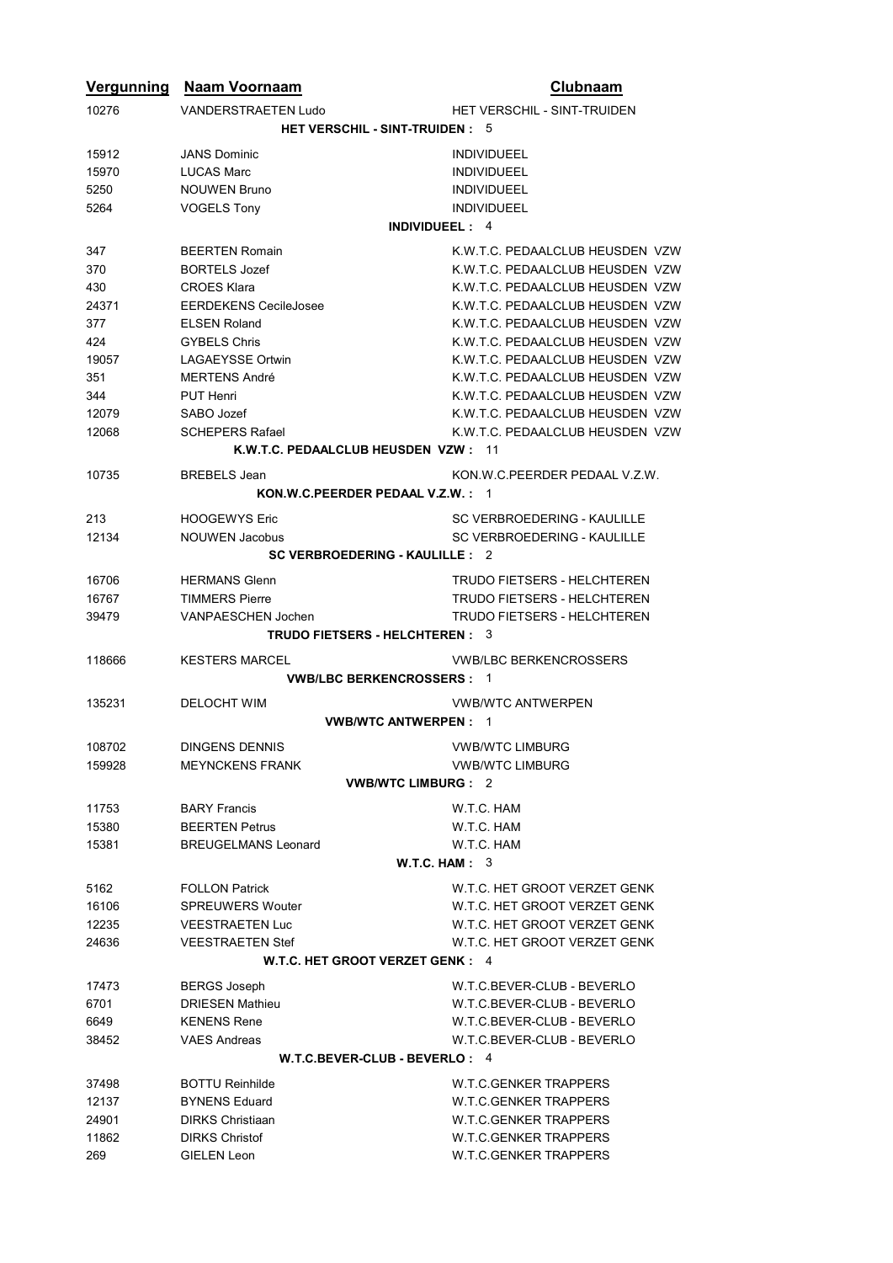| Vergunning                          | <b>Naam Voornaam</b>                        | Clubnaam                           |  |  |  |
|-------------------------------------|---------------------------------------------|------------------------------------|--|--|--|
| 10276                               | <b>VANDERSTRAETEN Ludo</b>                  | <b>HET VERSCHIL - SINT-TRUIDEN</b> |  |  |  |
|                                     | <b>HET VERSCHIL - SINT-TRUIDEN: 5</b>       |                                    |  |  |  |
| 15912                               | <b>JANS Dominic</b>                         | <b>INDIVIDUEEL</b>                 |  |  |  |
| 15970                               | <b>LUCAS Marc</b>                           | <b>INDIVIDUEEL</b>                 |  |  |  |
|                                     |                                             |                                    |  |  |  |
| 5250                                | <b>NOUWEN Bruno</b>                         | <b>INDIVIDUEEL</b>                 |  |  |  |
| 5264                                | <b>VOGELS Tony</b><br><b>INDIVIDUEEL: 4</b> | <b>INDIVIDUEEL</b>                 |  |  |  |
|                                     |                                             |                                    |  |  |  |
| 347                                 | <b>BEERTEN Romain</b>                       | K.W.T.C. PEDAALCLUB HEUSDEN VZW    |  |  |  |
| 370                                 | <b>BORTELS Jozef</b>                        | K.W.T.C. PEDAALCLUB HEUSDEN VZW    |  |  |  |
| 430                                 | <b>CROES Klara</b>                          | K.W.T.C. PEDAALCLUB HEUSDEN VZW    |  |  |  |
| 24371                               | <b>EERDEKENS CecileJosee</b>                | K.W.T.C. PEDAALCLUB HEUSDEN VZW    |  |  |  |
| 377                                 | <b>ELSEN Roland</b>                         | K.W.T.C. PEDAALCLUB HEUSDEN VZW    |  |  |  |
| 424                                 | <b>GYBELS Chris</b>                         | K.W.T.C. PEDAALCLUB HEUSDEN VZW    |  |  |  |
| 19057                               | <b>LAGAEYSSE Ortwin</b>                     | K.W.T.C. PEDAALCLUB HEUSDEN VZW    |  |  |  |
| 351                                 | MERTENS André                               | K.W.T.C. PEDAALCLUB HEUSDEN VZW    |  |  |  |
| 344                                 | PUT Henri                                   | K.W.T.C. PEDAALCLUB HEUSDEN VZW    |  |  |  |
| 12079                               | SABO Jozef                                  | K.W.T.C. PEDAALCLUB HEUSDEN VZW    |  |  |  |
| 12068                               | <b>SCHEPERS Rafael</b>                      | K.W.T.C. PEDAALCLUB HEUSDEN VZW    |  |  |  |
| K.W.T.C. PEDAALCLUB HEUSDEN VZW: 11 |                                             |                                    |  |  |  |
| 10735                               | <b>BREBELS</b> Jean                         | KON.W.C.PEERDER PEDAAL V.Z.W.      |  |  |  |
|                                     | KON.W.C.PEERDER PEDAAL V.Z.W.: 1            |                                    |  |  |  |
| 213                                 | <b>HOOGEWYS Eric</b>                        | SC VERBROEDERING - KAULILLE        |  |  |  |
| 12134                               | <b>NOUWEN Jacobus</b>                       | SC VERBROEDERING - KAULILLE        |  |  |  |
|                                     | <b>SC VERBROEDERING - KAULILLE: 2</b>       |                                    |  |  |  |
| 16706                               | <b>HERMANS Glenn</b>                        | <b>TRUDO FIETSERS - HELCHTEREN</b> |  |  |  |
| 16767                               | <b>TIMMERS Pierre</b>                       | <b>TRUDO FIETSERS - HELCHTEREN</b> |  |  |  |
| 39479                               | <b>VANPAESCHEN Jochen</b>                   | <b>TRUDO FIETSERS - HELCHTEREN</b> |  |  |  |
|                                     | <b>TRUDO FIETSERS - HELCHTEREN: 3</b>       |                                    |  |  |  |
| 118666                              | <b>KESTERS MARCEL</b>                       | <b>VWB/LBC BERKENCROSSERS</b>      |  |  |  |
|                                     | <b>VWB/LBC BERKENCROSSERS: 1</b>            |                                    |  |  |  |
| 135231                              | <b>DELOCHT WIM</b>                          | <b>VWB/WTC ANTWERPEN</b>           |  |  |  |
|                                     | <b>VWB/WTC ANTWERPEN: 1</b>                 |                                    |  |  |  |
| 108702                              | <b>DINGENS DENNIS</b>                       | <b>VWB/WTC LIMBURG</b>             |  |  |  |
| 159928                              | <b>MEYNCKENS FRANK</b>                      | <b>VWB/WTC LIMBURG</b>             |  |  |  |
|                                     | <b>VWB/WTC LIMBURG: 2</b>                   |                                    |  |  |  |
| 11753                               | <b>BARY Francis</b>                         | W.T.C. HAM                         |  |  |  |
| 15380                               | <b>BEERTEN Petrus</b>                       | W.T.C. HAM                         |  |  |  |
| 15381                               | <b>BREUGELMANS Leonard</b>                  | W.T.C. HAM                         |  |  |  |
|                                     |                                             |                                    |  |  |  |
|                                     | W.T.C. HAM: 3                               |                                    |  |  |  |
| 5162                                | <b>FOLLON Patrick</b>                       | W.T.C. HET GROOT VERZET GENK       |  |  |  |
| 16106                               | <b>SPREUWERS Wouter</b>                     | W.T.C. HET GROOT VERZET GENK       |  |  |  |
| 12235                               | <b>VEESTRAETEN Luc</b>                      | W.T.C. HET GROOT VERZET GENK       |  |  |  |
| 24636                               | <b>VEESTRAETEN Stef</b>                     | W.T.C. HET GROOT VERZET GENK       |  |  |  |
| W.T.C. HET GROOT VERZET GENK : 4    |                                             |                                    |  |  |  |
| 17473                               | <b>BERGS Joseph</b>                         | W.T.C.BEVER-CLUB - BEVERLO         |  |  |  |
| 6701                                | <b>DRIESEN Mathieu</b>                      | W.T.C.BEVER-CLUB - BEVERLO         |  |  |  |
| 6649                                | <b>KENENS Rene</b>                          | W.T.C.BEVER-CLUB - BEVERLO         |  |  |  |
| 38452                               | <b>VAES Andreas</b>                         | W.T.C.BEVER-CLUB - BEVERLO         |  |  |  |
| W.T.C.BEVER-CLUB - BEVERLO : 4      |                                             |                                    |  |  |  |
| 37498                               | <b>BOTTU Reinhilde</b>                      | W.T.C.GENKER TRAPPERS              |  |  |  |
| 12137                               | <b>BYNENS Eduard</b>                        | <b>W.T.C.GENKER TRAPPERS</b>       |  |  |  |
| 24901                               | <b>DIRKS Christiaan</b>                     | <b>W.T.C.GENKER TRAPPERS</b>       |  |  |  |
| 11862                               | <b>DIRKS Christof</b>                       | <b>W.T.C.GENKER TRAPPERS</b>       |  |  |  |
| 269                                 | <b>GIELEN Leon</b>                          | <b>W.T.C.GENKER TRAPPERS</b>       |  |  |  |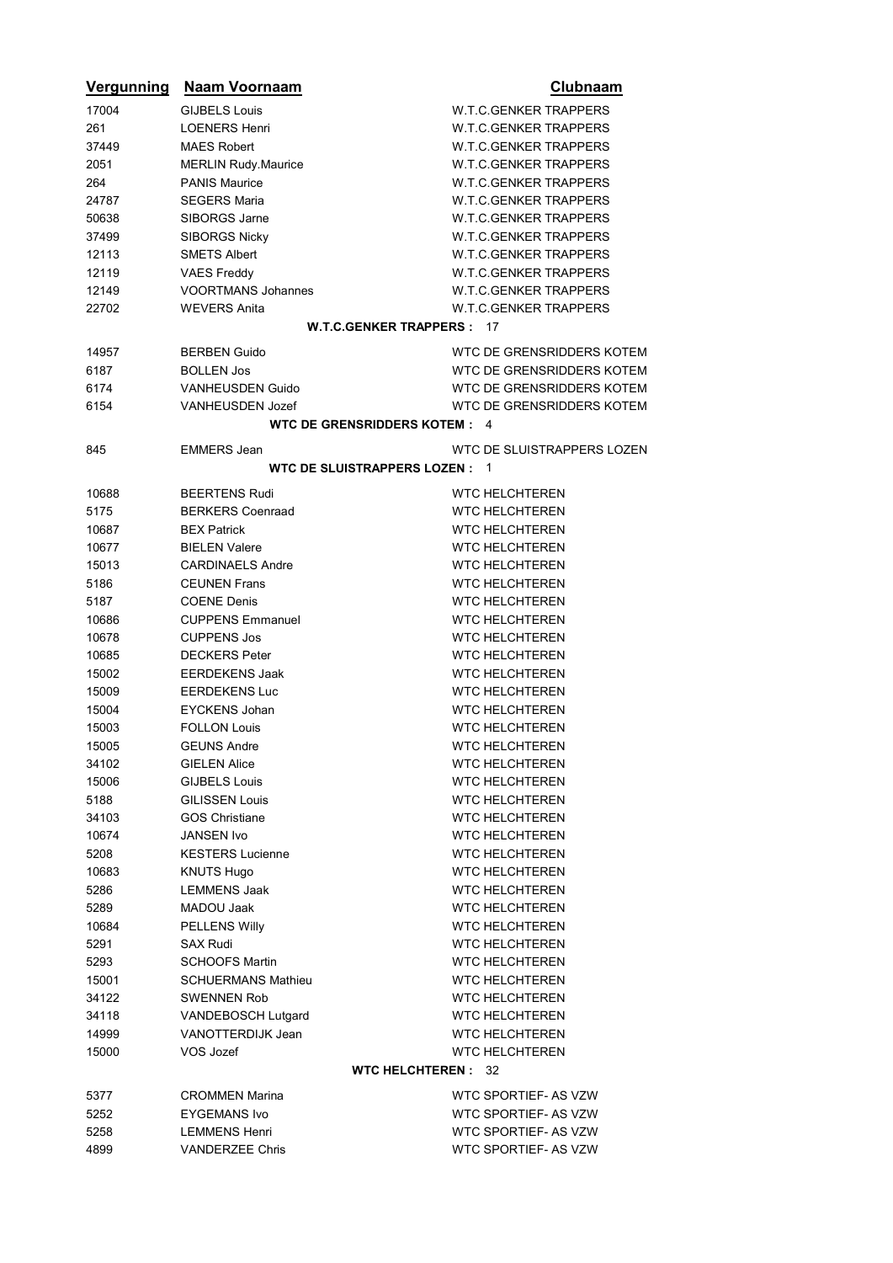| <b>Vergunning</b> | <b>Naam Voornaam</b>             | Clubnaam                     |
|-------------------|----------------------------------|------------------------------|
| 17004             | <b>GIJBELS Louis</b>             | <b>W.T.C.GENKER TRAPPERS</b> |
| 261               | <b>LOENERS Henri</b>             | <b>W.T.C.GENKER TRAPPERS</b> |
| 37449             | <b>MAES Robert</b>               | <b>W.T.C.GENKER TRAPPERS</b> |
| 2051              | <b>MERLIN Rudy.Maurice</b>       | <b>W.T.C.GENKER TRAPPERS</b> |
| 264               | <b>PANIS Maurice</b>             | <b>W.T.C.GENKER TRAPPERS</b> |
| 24787             | <b>SEGERS Maria</b>              | <b>W.T.C.GENKER TRAPPERS</b> |
| 50638             | SIBORGS Jarne                    | <b>W.T.C.GENKER TRAPPERS</b> |
| 37499             | <b>SIBORGS Nicky</b>             | <b>W.T.C.GENKER TRAPPERS</b> |
| 12113             | <b>SMETS Albert</b>              | <b>W.T.C.GENKER TRAPPERS</b> |
| 12119             | <b>VAES Freddy</b>               | <b>W.T.C.GENKER TRAPPERS</b> |
| 12149             | <b>VOORTMANS Johannes</b>        | <b>W.T.C.GENKER TRAPPERS</b> |
| 22702             | <b>WEVERS Anita</b>              | <b>W.T.C.GENKER TRAPPERS</b> |
|                   | <b>W.T.C.GENKER TRAPPERS: 17</b> |                              |
| 14957             | <b>BERBEN Guido</b>              | WTC DE GRENSRIDDERS KOTEM    |
| 6187              | <b>BOLLEN Jos</b>                | WTC DE GRENSRIDDERS KOTEM    |
| 6174              | <b>VANHEUSDEN Guido</b>          | WTC DE GRENSRIDDERS KOTEM    |
| 6154              | VANHEUSDEN Jozef                 | WTC DE GRENSRIDDERS KOTEM    |
|                   | WTC DE GRENSRIDDERS KOTEM: 4     |                              |
|                   |                                  |                              |
| 845               | <b>EMMERS Jean</b>               | WTC DE SLUISTRAPPERS LOZEN   |
|                   | WTC DE SLUISTRAPPERS LOZEN : 1   |                              |
| 10688             | <b>BEERTENS Rudi</b>             | <b>WTC HELCHTEREN</b>        |
| 5175              | <b>BERKERS Coenraad</b>          | <b>WTC HELCHTEREN</b>        |
| 10687             | <b>BEX Patrick</b>               | <b>WTC HELCHTEREN</b>        |
| 10677             | <b>BIELEN Valere</b>             | <b>WTC HELCHTEREN</b>        |
| 15013             | <b>CARDINAELS Andre</b>          | <b>WTC HELCHTEREN</b>        |
| 5186              | <b>CEUNEN Frans</b>              | <b>WTC HELCHTEREN</b>        |
| 5187              | <b>COENE Denis</b>               | <b>WTC HELCHTEREN</b>        |
| 10686             | <b>CUPPENS Emmanuel</b>          | <b>WTC HELCHTEREN</b>        |
| 10678             | <b>CUPPENS Jos</b>               | <b>WTC HELCHTEREN</b>        |
| 10685             | <b>DECKERS</b> Peter             | <b>WTC HELCHTEREN</b>        |
| 15002             | <b>EERDEKENS Jaak</b>            | <b>WTC HELCHTEREN</b>        |
| 15009             | <b>EERDEKENS Luc</b>             | <b>WTC HELCHTEREN</b>        |
| 15004             | <b>EYCKENS Johan</b>             | <b>WTC HELCHTEREN</b>        |
| 15003             | <b>FOLLON Louis</b>              | <b>WTC HELCHTEREN</b>        |
| 15005             | <b>GEUNS Andre</b>               | <b>WTC HELCHTEREN</b>        |
| 34102             | <b>GIELEN Alice</b>              | <b>WTC HELCHTEREN</b>        |
| 15006             | <b>GIJBELS Louis</b>             | <b>WTC HELCHTEREN</b>        |
| 5188              | <b>GILISSEN Louis</b>            | <b>WTC HELCHTEREN</b>        |
| 34103             | <b>GOS Christiane</b>            | <b>WTC HELCHTEREN</b>        |
| 10674             | JANSEN Ivo                       | <b>WTC HELCHTEREN</b>        |
| 5208              | <b>KESTERS Lucienne</b>          | <b>WTC HELCHTEREN</b>        |
| 10683             | KNUTS Hugo                       | <b>WTC HELCHTEREN</b>        |
| 5286              | <b>LEMMENS Jaak</b>              | <b>WTC HELCHTEREN</b>        |
| 5289              | MADOU Jaak                       | <b>WTC HELCHTEREN</b>        |
| 10684             | <b>PELLENS Willy</b>             | <b>WTC HELCHTEREN</b>        |
| 5291              | <b>SAX Rudi</b>                  | <b>WTC HELCHTEREN</b>        |
| 5293              | <b>SCHOOFS Martin</b>            | <b>WTC HELCHTEREN</b>        |
| 15001             | <b>SCHUERMANS Mathieu</b>        | <b>WTC HELCHTEREN</b>        |
| 34122             | SWENNEN Rob                      | <b>WTC HELCHTEREN</b>        |
| 34118             | VANDEBOSCH Lutgard               | <b>WTC HELCHTEREN</b>        |
| 14999             | VANOTTERDIJK Jean                | <b>WTC HELCHTEREN</b>        |
| 15000             | VOS Jozef                        | <b>WTC HELCHTEREN</b>        |
|                   | <b>WTC HELCHTEREN: 32</b>        |                              |
| 5377              | <b>CROMMEN Marina</b>            | WTC SPORTIEF- AS VZW         |
| 5252              | <b>EYGEMANS Ivo</b>              | WTC SPORTIEF- AS VZW         |
| 5258              | LEMMENS Henri                    | WTC SPORTIEF- AS VZW         |
| 4899              | <b>VANDERZEE Chris</b>           | WTC SPORTIEF- AS VZW         |
|                   |                                  |                              |